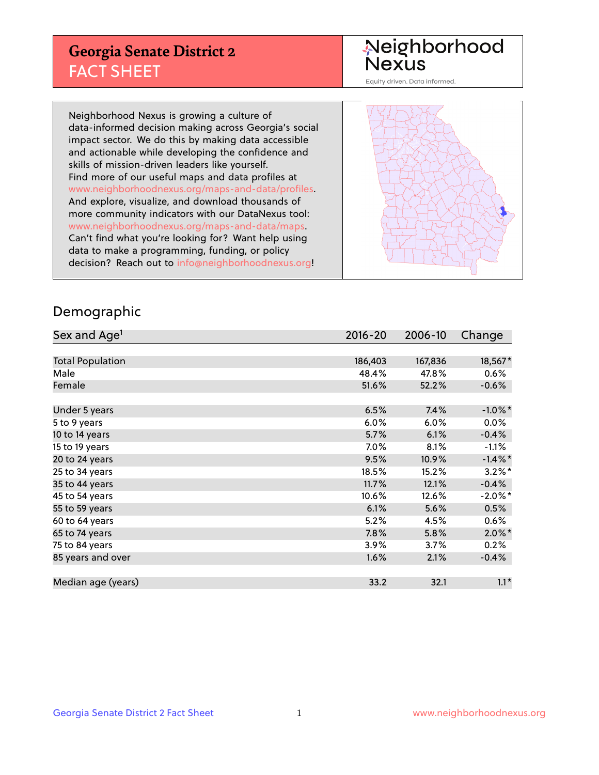## **Georgia Senate District 2** FACT SHEET

# Neighborhood<br>Nexus

Equity driven. Data informed.

Neighborhood Nexus is growing a culture of data-informed decision making across Georgia's social impact sector. We do this by making data accessible and actionable while developing the confidence and skills of mission-driven leaders like yourself. Find more of our useful maps and data profiles at www.neighborhoodnexus.org/maps-and-data/profiles. And explore, visualize, and download thousands of more community indicators with our DataNexus tool: www.neighborhoodnexus.org/maps-and-data/maps. Can't find what you're looking for? Want help using data to make a programming, funding, or policy decision? Reach out to [info@neighborhoodnexus.org!](mailto:info@neighborhoodnexus.org)



### Demographic

| Sex and Age <sup>1</sup> | $2016 - 20$ | 2006-10 | Change     |
|--------------------------|-------------|---------|------------|
|                          |             |         |            |
| <b>Total Population</b>  | 186,403     | 167,836 | 18,567*    |
| Male                     | 48.4%       | 47.8%   | $0.6\%$    |
| Female                   | 51.6%       | 52.2%   | $-0.6%$    |
|                          |             |         |            |
| Under 5 years            | 6.5%        | 7.4%    | $-1.0\%$ * |
| 5 to 9 years             | 6.0%        | 6.0%    | $0.0\%$    |
| 10 to 14 years           | 5.7%        | 6.1%    | $-0.4%$    |
| 15 to 19 years           | 7.0%        | 8.1%    | $-1.1%$    |
| 20 to 24 years           | 9.5%        | 10.9%   | $-1.4\%$ * |
| 25 to 34 years           | 18.5%       | 15.2%   | $3.2\%$ *  |
| 35 to 44 years           | 11.7%       | 12.1%   | $-0.4%$    |
| 45 to 54 years           | 10.6%       | 12.6%   | $-2.0\%$ * |
| 55 to 59 years           | 6.1%        | 5.6%    | 0.5%       |
| 60 to 64 years           | $5.2\%$     | 4.5%    | 0.6%       |
| 65 to 74 years           | 7.8%        | 5.8%    | $2.0\%$ *  |
| 75 to 84 years           | $3.9\%$     | 3.7%    | 0.2%       |
| 85 years and over        | 1.6%        | 2.1%    | $-0.4%$    |
|                          |             |         |            |
| Median age (years)       | 33.2        | 32.1    | $1.1*$     |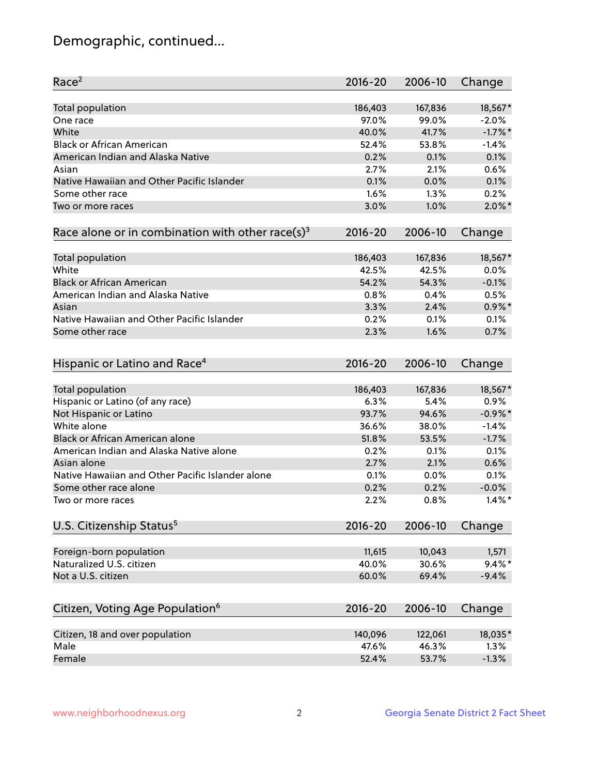## Demographic, continued...

| Race <sup>2</sup>                                            | $2016 - 20$ | 2006-10 | Change     |
|--------------------------------------------------------------|-------------|---------|------------|
| <b>Total population</b>                                      | 186,403     | 167,836 | 18,567*    |
| One race                                                     | 97.0%       | 99.0%   | $-2.0%$    |
| White                                                        | 40.0%       | 41.7%   | $-1.7%$ *  |
| <b>Black or African American</b>                             | 52.4%       | 53.8%   | $-1.4%$    |
| American Indian and Alaska Native                            | 0.2%        | 0.1%    | 0.1%       |
| Asian                                                        | 2.7%        | 2.1%    | 0.6%       |
| Native Hawaiian and Other Pacific Islander                   | 0.1%        | 0.0%    | 0.1%       |
| Some other race                                              | 1.6%        | 1.3%    | 0.2%       |
| Two or more races                                            | 3.0%        | 1.0%    | $2.0\%$ *  |
| Race alone or in combination with other race(s) <sup>3</sup> | $2016 - 20$ | 2006-10 | Change     |
| Total population                                             | 186,403     | 167,836 | 18,567*    |
| White                                                        | 42.5%       | 42.5%   | 0.0%       |
| <b>Black or African American</b>                             | 54.2%       | 54.3%   | $-0.1%$    |
| American Indian and Alaska Native                            | 0.8%        | 0.4%    | 0.5%       |
|                                                              | 3.3%        | 2.4%    | $0.9\%$ *  |
| Asian<br>Native Hawaiian and Other Pacific Islander          |             |         |            |
|                                                              | 0.2%        | 0.1%    | 0.1%       |
| Some other race                                              | 2.3%        | 1.6%    | 0.7%       |
| Hispanic or Latino and Race <sup>4</sup>                     | $2016 - 20$ | 2006-10 | Change     |
| <b>Total population</b>                                      | 186,403     | 167,836 | 18,567*    |
| Hispanic or Latino (of any race)                             | 6.3%        | 5.4%    | 0.9%       |
| Not Hispanic or Latino                                       | 93.7%       | 94.6%   | $-0.9\%$ * |
| White alone                                                  | 36.6%       | 38.0%   | $-1.4%$    |
| Black or African American alone                              | 51.8%       | 53.5%   | $-1.7%$    |
| American Indian and Alaska Native alone                      | 0.2%        | 0.1%    | 0.1%       |
| Asian alone                                                  | 2.7%        | 2.1%    | 0.6%       |
| Native Hawaiian and Other Pacific Islander alone             | 0.1%        | 0.0%    | 0.1%       |
| Some other race alone                                        | 0.2%        | 0.2%    | $-0.0%$    |
| Two or more races                                            | 2.2%        | 0.8%    | $1.4\%$ *  |
| U.S. Citizenship Status <sup>5</sup>                         | $2016 - 20$ | 2006-10 | Change     |
|                                                              |             |         |            |
| Foreign-born population                                      | 11,615      | 10,043  | 1,571      |
| Naturalized U.S. citizen                                     | 40.0%       | 30.6%   | $9.4\%$ *  |
| Not a U.S. citizen                                           | 60.0%       | 69.4%   | $-9.4%$    |
| Citizen, Voting Age Population <sup>6</sup>                  | $2016 - 20$ | 2006-10 | Change     |
|                                                              |             |         |            |
| Citizen, 18 and over population                              | 140,096     | 122,061 | 18,035*    |
| Male                                                         | 47.6%       | 46.3%   | 1.3%       |
| Female                                                       | 52.4%       | 53.7%   | $-1.3%$    |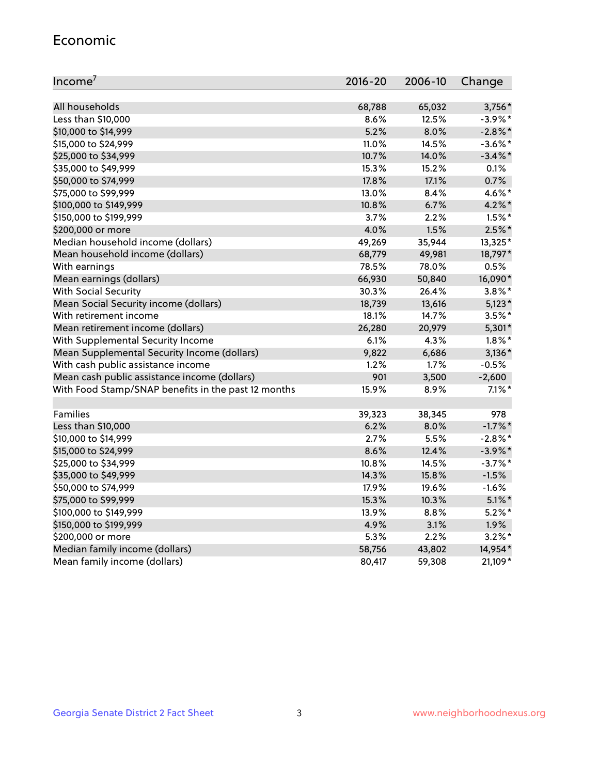#### Economic

| Income <sup>7</sup>                                 | $2016 - 20$ | 2006-10 | Change     |
|-----------------------------------------------------|-------------|---------|------------|
|                                                     |             |         |            |
| All households                                      | 68,788      | 65,032  | 3,756*     |
| Less than \$10,000                                  | 8.6%        | 12.5%   | $-3.9\%$ * |
| \$10,000 to \$14,999                                | 5.2%        | 8.0%    | $-2.8\%$ * |
| \$15,000 to \$24,999                                | 11.0%       | 14.5%   | $-3.6\%$ * |
| \$25,000 to \$34,999                                | 10.7%       | 14.0%   | $-3.4\%$ * |
| \$35,000 to \$49,999                                | 15.3%       | 15.2%   | 0.1%       |
| \$50,000 to \$74,999                                | 17.8%       | 17.1%   | 0.7%       |
| \$75,000 to \$99,999                                | 13.0%       | 8.4%    | 4.6%*      |
| \$100,000 to \$149,999                              | 10.8%       | 6.7%    | $4.2\%$ *  |
| \$150,000 to \$199,999                              | 3.7%        | 2.2%    | $1.5\%$ *  |
| \$200,000 or more                                   | 4.0%        | 1.5%    | $2.5\%$ *  |
| Median household income (dollars)                   | 49,269      | 35,944  | 13,325*    |
| Mean household income (dollars)                     | 68,779      | 49,981  | 18,797*    |
| With earnings                                       | 78.5%       | 78.0%   | 0.5%       |
| Mean earnings (dollars)                             | 66,930      | 50,840  | 16,090*    |
| <b>With Social Security</b>                         | 30.3%       | 26.4%   | $3.8\%$ *  |
| Mean Social Security income (dollars)               | 18,739      | 13,616  | $5,123*$   |
| With retirement income                              | 18.1%       | 14.7%   | $3.5\%$ *  |
| Mean retirement income (dollars)                    | 26,280      | 20,979  | 5,301*     |
| With Supplemental Security Income                   | 6.1%        | 4.3%    | $1.8\%$ *  |
| Mean Supplemental Security Income (dollars)         | 9,822       | 6,686   | $3,136*$   |
| With cash public assistance income                  | 1.2%        | 1.7%    | $-0.5%$    |
| Mean cash public assistance income (dollars)        | 901         | 3,500   | $-2,600$   |
| With Food Stamp/SNAP benefits in the past 12 months | 15.9%       | 8.9%    | $7.1\%$ *  |
|                                                     |             |         |            |
| Families                                            | 39,323      | 38,345  | 978        |
| Less than \$10,000                                  | 6.2%        | 8.0%    | $-1.7\%$ * |
| \$10,000 to \$14,999                                | 2.7%        | 5.5%    | $-2.8\%$ * |
| \$15,000 to \$24,999                                | 8.6%        | 12.4%   | $-3.9\%$ * |
| \$25,000 to \$34,999                                | 10.8%       | 14.5%   | $-3.7%$ *  |
| \$35,000 to \$49,999                                | 14.3%       | 15.8%   | $-1.5%$    |
| \$50,000 to \$74,999                                | 17.9%       | 19.6%   | $-1.6%$    |
| \$75,000 to \$99,999                                | 15.3%       | 10.3%   | $5.1\%$ *  |
| \$100,000 to \$149,999                              | 13.9%       | 8.8%    | $5.2\%$ *  |
| \$150,000 to \$199,999                              | 4.9%        | 3.1%    | 1.9%       |
| \$200,000 or more                                   | 5.3%        | 2.2%    | $3.2\%$ *  |
| Median family income (dollars)                      | 58,756      | 43,802  | 14,954*    |
| Mean family income (dollars)                        | 80,417      | 59,308  | 21,109*    |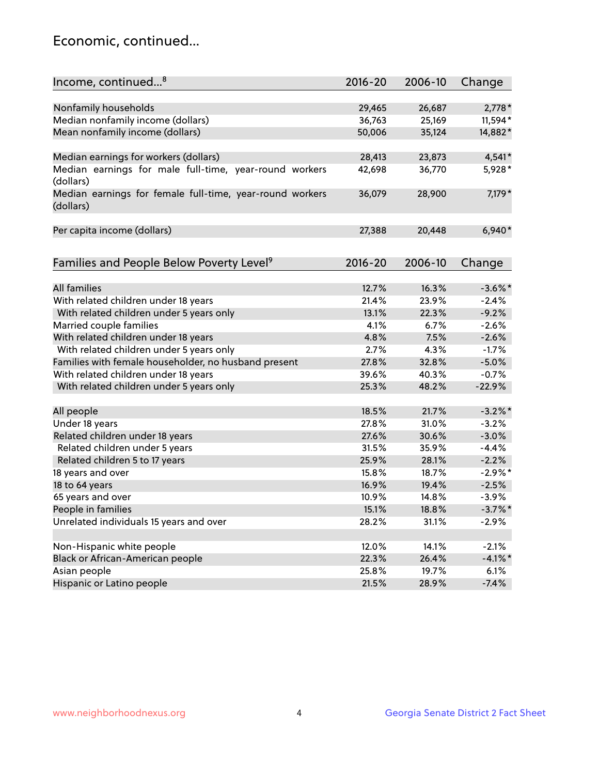## Economic, continued...

| Income, continued <sup>8</sup>                                        | $2016 - 20$ | 2006-10 | Change     |
|-----------------------------------------------------------------------|-------------|---------|------------|
|                                                                       |             |         |            |
| Nonfamily households                                                  | 29,465      | 26,687  | $2,778*$   |
| Median nonfamily income (dollars)                                     | 36,763      | 25,169  | 11,594*    |
| Mean nonfamily income (dollars)                                       | 50,006      | 35,124  | 14,882*    |
| Median earnings for workers (dollars)                                 | 28,413      | 23,873  | 4,541*     |
| Median earnings for male full-time, year-round workers<br>(dollars)   | 42,698      | 36,770  | 5,928*     |
| Median earnings for female full-time, year-round workers<br>(dollars) | 36,079      | 28,900  | 7,179*     |
| Per capita income (dollars)                                           | 27,388      | 20,448  | $6,940*$   |
| Families and People Below Poverty Level <sup>9</sup>                  | $2016 - 20$ | 2006-10 | Change     |
|                                                                       |             |         |            |
| <b>All families</b>                                                   | 12.7%       | 16.3%   | $-3.6\%$ * |
| With related children under 18 years                                  | 21.4%       | 23.9%   | $-2.4%$    |
| With related children under 5 years only                              | 13.1%       | 22.3%   | $-9.2%$    |
| Married couple families                                               | 4.1%        | 6.7%    | $-2.6%$    |
| With related children under 18 years                                  | 4.8%        | 7.5%    | $-2.6%$    |
| With related children under 5 years only                              | 2.7%        | 4.3%    | $-1.7%$    |
| Families with female householder, no husband present                  | 27.8%       | 32.8%   | $-5.0%$    |
| With related children under 18 years                                  | 39.6%       | 40.3%   | $-0.7%$    |
| With related children under 5 years only                              | 25.3%       | 48.2%   | $-22.9%$   |
|                                                                       |             |         |            |
| All people                                                            | 18.5%       | 21.7%   | $-3.2\%$ * |
| Under 18 years                                                        | 27.8%       | 31.0%   | $-3.2%$    |
| Related children under 18 years                                       | 27.6%       | 30.6%   | $-3.0%$    |
| Related children under 5 years                                        | 31.5%       | 35.9%   | $-4.4%$    |
| Related children 5 to 17 years                                        | 25.9%       | 28.1%   | $-2.2%$    |
| 18 years and over                                                     | 15.8%       | 18.7%   | $-2.9\%$ * |
| 18 to 64 years                                                        | 16.9%       | 19.4%   | $-2.5%$    |
| 65 years and over                                                     | 10.9%       | 14.8%   | $-3.9%$    |
| People in families                                                    | 15.1%       | 18.8%   | $-3.7\%$ * |
| Unrelated individuals 15 years and over                               | 28.2%       | 31.1%   | $-2.9%$    |
|                                                                       |             |         |            |
| Non-Hispanic white people                                             | 12.0%       | 14.1%   | $-2.1%$    |
| Black or African-American people                                      | 22.3%       | 26.4%   | $-4.1\%$ * |
| Asian people                                                          | 25.8%       | 19.7%   | 6.1%       |
| Hispanic or Latino people                                             | 21.5%       | 28.9%   | $-7.4%$    |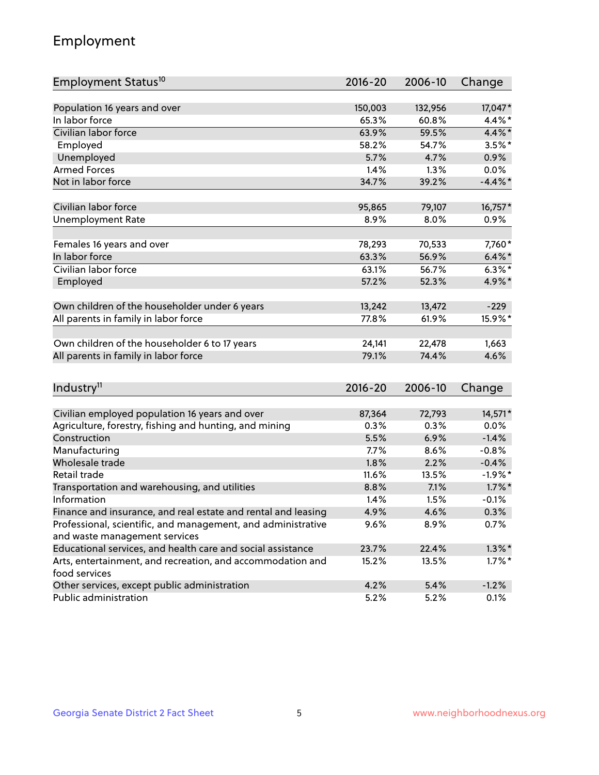## Employment

| Employment Status <sup>10</sup>                               | $2016 - 20$ | 2006-10 | Change     |
|---------------------------------------------------------------|-------------|---------|------------|
|                                                               |             |         |            |
| Population 16 years and over                                  | 150,003     | 132,956 | 17,047*    |
| In labor force                                                | 65.3%       | 60.8%   | 4.4%*      |
| Civilian labor force                                          | 63.9%       | 59.5%   | $4.4\%$ *  |
| Employed                                                      | 58.2%       | 54.7%   | $3.5%$ *   |
| Unemployed                                                    | 5.7%        | 4.7%    | 0.9%       |
| <b>Armed Forces</b>                                           | 1.4%        | 1.3%    | $0.0\%$    |
| Not in labor force                                            | 34.7%       | 39.2%   | $-4.4\%$ * |
| Civilian labor force                                          | 95,865      | 79,107  | 16,757*    |
| <b>Unemployment Rate</b>                                      | 8.9%        | 8.0%    | 0.9%       |
|                                                               |             |         |            |
| Females 16 years and over                                     | 78,293      | 70,533  | 7,760*     |
| In labor force                                                | 63.3%       | 56.9%   | $6.4\% *$  |
| Civilian labor force                                          | 63.1%       | 56.7%   | $6.3\%$ *  |
| Employed                                                      | 57.2%       | 52.3%   | 4.9%*      |
| Own children of the householder under 6 years                 | 13,242      | 13,472  | $-229$     |
| All parents in family in labor force                          | 77.8%       | 61.9%   | 15.9%*     |
|                                                               |             |         |            |
| Own children of the householder 6 to 17 years                 | 24,141      | 22,478  | 1,663      |
| All parents in family in labor force                          | 79.1%       | 74.4%   | 4.6%       |
|                                                               |             |         |            |
| Industry <sup>11</sup>                                        | $2016 - 20$ | 2006-10 | Change     |
| Civilian employed population 16 years and over                | 87,364      | 72,793  | 14,571*    |
| Agriculture, forestry, fishing and hunting, and mining        | 0.3%        | 0.3%    | 0.0%       |
| Construction                                                  | 5.5%        | 6.9%    | $-1.4%$    |
| Manufacturing                                                 | 7.7%        | 8.6%    | $-0.8%$    |
| Wholesale trade                                               | 1.8%        | 2.2%    | $-0.4%$    |
| Retail trade                                                  | 11.6%       | 13.5%   | $-1.9%$ *  |
| Transportation and warehousing, and utilities                 | 8.8%        | 7.1%    | $1.7\%$ *  |
| Information                                                   | 1.4%        | 1.5%    | $-0.1%$    |
| Finance and insurance, and real estate and rental and leasing | 4.9%        | 4.6%    | 0.3%       |
| Professional, scientific, and management, and administrative  | 9.6%        | 8.9%    | 0.7%       |
| and waste management services                                 |             |         |            |
| Educational services, and health care and social assistance   | 23.7%       | 22.4%   | $1.3\%$ *  |
| Arts, entertainment, and recreation, and accommodation and    | 15.2%       | 13.5%   | $1.7\%$ *  |
| food services                                                 |             |         |            |
| Other services, except public administration                  | 4.2%        | 5.4%    | $-1.2%$    |
| Public administration                                         | 5.2%        | 5.2%    | 0.1%       |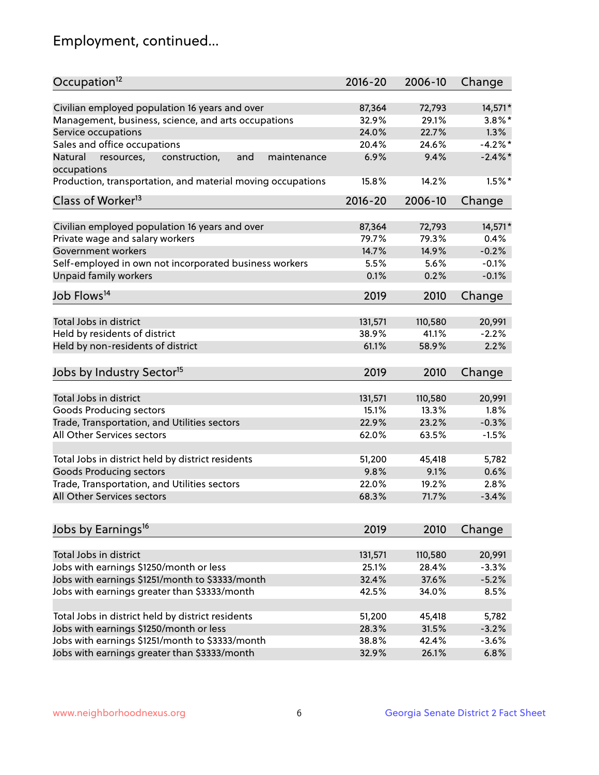## Employment, continued...

| Civilian employed population 16 years and over<br>87,364<br>72,793<br>14,571*<br>Management, business, science, and arts occupations<br>32.9%<br>29.1%<br>$3.8\%$ *<br>1.3%<br>Service occupations<br>24.0%<br>22.7%<br>Sales and office occupations<br>$-4.2%$ *<br>20.4%<br>24.6%<br>6.9%<br>$-2.4\%$<br>and<br>maintenance<br>9.4%<br>Natural<br>resources,<br>construction,<br>$1.5%$ *<br>15.8%<br>14.2%<br>$2016 - 20$<br>2006-10<br>Change<br>Civilian employed population 16 years and over<br>14,571*<br>87,364<br>72,793<br>Private wage and salary workers<br>79.7%<br>79.3%<br>0.4%<br>$-0.2%$<br>Government workers<br>14.7%<br>14.9%<br>Self-employed in own not incorporated business workers<br>5.5%<br>$-0.1%$<br>5.6%<br>Unpaid family workers<br>$-0.1%$<br>0.1%<br>0.2%<br>2019<br>2010<br>Change<br>Total Jobs in district<br>131,571<br>110,580<br>20,991<br>Held by residents of district<br>38.9%<br>41.1%<br>$-2.2%$<br>Held by non-residents of district<br>61.1%<br>58.9%<br>2.2%<br>2019<br>2010<br>Change<br>Total Jobs in district<br>131,571<br>110,580<br>20,991<br>Goods Producing sectors<br>15.1%<br>13.3%<br>1.8%<br>Trade, Transportation, and Utilities sectors<br>22.9%<br>23.2%<br>$-0.3%$<br>All Other Services sectors<br>62.0%<br>$-1.5%$<br>63.5%<br>Total Jobs in district held by district residents<br>51,200<br>45,418<br>5,782<br><b>Goods Producing sectors</b><br>9.8%<br>9.1%<br>0.6%<br>Trade, Transportation, and Utilities sectors<br>22.0%<br>19.2%<br>2.8%<br>68.3%<br>71.7%<br>$-3.4%$<br>2019<br>2010<br>Change<br>Total Jobs in district<br>131,571<br>110,580<br>20,991<br>Jobs with earnings \$1250/month or less<br>28.4%<br>$-3.3%$<br>25.1%<br>Jobs with earnings \$1251/month to \$3333/month<br>37.6%<br>$-5.2%$<br>32.4%<br>Jobs with earnings greater than \$3333/month<br>8.5%<br>42.5%<br>34.0%<br>Total Jobs in district held by district residents<br>51,200<br>45,418<br>5,782<br>Jobs with earnings \$1250/month or less<br>$-3.2%$<br>28.3%<br>31.5% | Occupation <sup>12</sup>                                    | $2016 - 20$ | 2006-10 | Change |
|----------------------------------------------------------------------------------------------------------------------------------------------------------------------------------------------------------------------------------------------------------------------------------------------------------------------------------------------------------------------------------------------------------------------------------------------------------------------------------------------------------------------------------------------------------------------------------------------------------------------------------------------------------------------------------------------------------------------------------------------------------------------------------------------------------------------------------------------------------------------------------------------------------------------------------------------------------------------------------------------------------------------------------------------------------------------------------------------------------------------------------------------------------------------------------------------------------------------------------------------------------------------------------------------------------------------------------------------------------------------------------------------------------------------------------------------------------------------------------------------------------------------------------------------------------------------------------------------------------------------------------------------------------------------------------------------------------------------------------------------------------------------------------------------------------------------------------------------------------------------------------------------------------------------------------------------------------------------------------------------------------------------------------|-------------------------------------------------------------|-------------|---------|--------|
|                                                                                                                                                                                                                                                                                                                                                                                                                                                                                                                                                                                                                                                                                                                                                                                                                                                                                                                                                                                                                                                                                                                                                                                                                                                                                                                                                                                                                                                                                                                                                                                                                                                                                                                                                                                                                                                                                                                                                                                                                                  |                                                             |             |         |        |
|                                                                                                                                                                                                                                                                                                                                                                                                                                                                                                                                                                                                                                                                                                                                                                                                                                                                                                                                                                                                                                                                                                                                                                                                                                                                                                                                                                                                                                                                                                                                                                                                                                                                                                                                                                                                                                                                                                                                                                                                                                  |                                                             |             |         |        |
|                                                                                                                                                                                                                                                                                                                                                                                                                                                                                                                                                                                                                                                                                                                                                                                                                                                                                                                                                                                                                                                                                                                                                                                                                                                                                                                                                                                                                                                                                                                                                                                                                                                                                                                                                                                                                                                                                                                                                                                                                                  |                                                             |             |         |        |
|                                                                                                                                                                                                                                                                                                                                                                                                                                                                                                                                                                                                                                                                                                                                                                                                                                                                                                                                                                                                                                                                                                                                                                                                                                                                                                                                                                                                                                                                                                                                                                                                                                                                                                                                                                                                                                                                                                                                                                                                                                  |                                                             |             |         |        |
|                                                                                                                                                                                                                                                                                                                                                                                                                                                                                                                                                                                                                                                                                                                                                                                                                                                                                                                                                                                                                                                                                                                                                                                                                                                                                                                                                                                                                                                                                                                                                                                                                                                                                                                                                                                                                                                                                                                                                                                                                                  |                                                             |             |         |        |
|                                                                                                                                                                                                                                                                                                                                                                                                                                                                                                                                                                                                                                                                                                                                                                                                                                                                                                                                                                                                                                                                                                                                                                                                                                                                                                                                                                                                                                                                                                                                                                                                                                                                                                                                                                                                                                                                                                                                                                                                                                  | occupations                                                 |             |         |        |
|                                                                                                                                                                                                                                                                                                                                                                                                                                                                                                                                                                                                                                                                                                                                                                                                                                                                                                                                                                                                                                                                                                                                                                                                                                                                                                                                                                                                                                                                                                                                                                                                                                                                                                                                                                                                                                                                                                                                                                                                                                  | Production, transportation, and material moving occupations |             |         |        |
|                                                                                                                                                                                                                                                                                                                                                                                                                                                                                                                                                                                                                                                                                                                                                                                                                                                                                                                                                                                                                                                                                                                                                                                                                                                                                                                                                                                                                                                                                                                                                                                                                                                                                                                                                                                                                                                                                                                                                                                                                                  | Class of Worker <sup>13</sup>                               |             |         |        |
|                                                                                                                                                                                                                                                                                                                                                                                                                                                                                                                                                                                                                                                                                                                                                                                                                                                                                                                                                                                                                                                                                                                                                                                                                                                                                                                                                                                                                                                                                                                                                                                                                                                                                                                                                                                                                                                                                                                                                                                                                                  |                                                             |             |         |        |
|                                                                                                                                                                                                                                                                                                                                                                                                                                                                                                                                                                                                                                                                                                                                                                                                                                                                                                                                                                                                                                                                                                                                                                                                                                                                                                                                                                                                                                                                                                                                                                                                                                                                                                                                                                                                                                                                                                                                                                                                                                  |                                                             |             |         |        |
|                                                                                                                                                                                                                                                                                                                                                                                                                                                                                                                                                                                                                                                                                                                                                                                                                                                                                                                                                                                                                                                                                                                                                                                                                                                                                                                                                                                                                                                                                                                                                                                                                                                                                                                                                                                                                                                                                                                                                                                                                                  |                                                             |             |         |        |
|                                                                                                                                                                                                                                                                                                                                                                                                                                                                                                                                                                                                                                                                                                                                                                                                                                                                                                                                                                                                                                                                                                                                                                                                                                                                                                                                                                                                                                                                                                                                                                                                                                                                                                                                                                                                                                                                                                                                                                                                                                  |                                                             |             |         |        |
|                                                                                                                                                                                                                                                                                                                                                                                                                                                                                                                                                                                                                                                                                                                                                                                                                                                                                                                                                                                                                                                                                                                                                                                                                                                                                                                                                                                                                                                                                                                                                                                                                                                                                                                                                                                                                                                                                                                                                                                                                                  |                                                             |             |         |        |
|                                                                                                                                                                                                                                                                                                                                                                                                                                                                                                                                                                                                                                                                                                                                                                                                                                                                                                                                                                                                                                                                                                                                                                                                                                                                                                                                                                                                                                                                                                                                                                                                                                                                                                                                                                                                                                                                                                                                                                                                                                  |                                                             |             |         |        |
|                                                                                                                                                                                                                                                                                                                                                                                                                                                                                                                                                                                                                                                                                                                                                                                                                                                                                                                                                                                                                                                                                                                                                                                                                                                                                                                                                                                                                                                                                                                                                                                                                                                                                                                                                                                                                                                                                                                                                                                                                                  | Job Flows <sup>14</sup>                                     |             |         |        |
|                                                                                                                                                                                                                                                                                                                                                                                                                                                                                                                                                                                                                                                                                                                                                                                                                                                                                                                                                                                                                                                                                                                                                                                                                                                                                                                                                                                                                                                                                                                                                                                                                                                                                                                                                                                                                                                                                                                                                                                                                                  |                                                             |             |         |        |
|                                                                                                                                                                                                                                                                                                                                                                                                                                                                                                                                                                                                                                                                                                                                                                                                                                                                                                                                                                                                                                                                                                                                                                                                                                                                                                                                                                                                                                                                                                                                                                                                                                                                                                                                                                                                                                                                                                                                                                                                                                  |                                                             |             |         |        |
|                                                                                                                                                                                                                                                                                                                                                                                                                                                                                                                                                                                                                                                                                                                                                                                                                                                                                                                                                                                                                                                                                                                                                                                                                                                                                                                                                                                                                                                                                                                                                                                                                                                                                                                                                                                                                                                                                                                                                                                                                                  |                                                             |             |         |        |
|                                                                                                                                                                                                                                                                                                                                                                                                                                                                                                                                                                                                                                                                                                                                                                                                                                                                                                                                                                                                                                                                                                                                                                                                                                                                                                                                                                                                                                                                                                                                                                                                                                                                                                                                                                                                                                                                                                                                                                                                                                  |                                                             |             |         |        |
|                                                                                                                                                                                                                                                                                                                                                                                                                                                                                                                                                                                                                                                                                                                                                                                                                                                                                                                                                                                                                                                                                                                                                                                                                                                                                                                                                                                                                                                                                                                                                                                                                                                                                                                                                                                                                                                                                                                                                                                                                                  | Jobs by Industry Sector <sup>15</sup>                       |             |         |        |
|                                                                                                                                                                                                                                                                                                                                                                                                                                                                                                                                                                                                                                                                                                                                                                                                                                                                                                                                                                                                                                                                                                                                                                                                                                                                                                                                                                                                                                                                                                                                                                                                                                                                                                                                                                                                                                                                                                                                                                                                                                  |                                                             |             |         |        |
|                                                                                                                                                                                                                                                                                                                                                                                                                                                                                                                                                                                                                                                                                                                                                                                                                                                                                                                                                                                                                                                                                                                                                                                                                                                                                                                                                                                                                                                                                                                                                                                                                                                                                                                                                                                                                                                                                                                                                                                                                                  |                                                             |             |         |        |
|                                                                                                                                                                                                                                                                                                                                                                                                                                                                                                                                                                                                                                                                                                                                                                                                                                                                                                                                                                                                                                                                                                                                                                                                                                                                                                                                                                                                                                                                                                                                                                                                                                                                                                                                                                                                                                                                                                                                                                                                                                  |                                                             |             |         |        |
|                                                                                                                                                                                                                                                                                                                                                                                                                                                                                                                                                                                                                                                                                                                                                                                                                                                                                                                                                                                                                                                                                                                                                                                                                                                                                                                                                                                                                                                                                                                                                                                                                                                                                                                                                                                                                                                                                                                                                                                                                                  |                                                             |             |         |        |
|                                                                                                                                                                                                                                                                                                                                                                                                                                                                                                                                                                                                                                                                                                                                                                                                                                                                                                                                                                                                                                                                                                                                                                                                                                                                                                                                                                                                                                                                                                                                                                                                                                                                                                                                                                                                                                                                                                                                                                                                                                  |                                                             |             |         |        |
|                                                                                                                                                                                                                                                                                                                                                                                                                                                                                                                                                                                                                                                                                                                                                                                                                                                                                                                                                                                                                                                                                                                                                                                                                                                                                                                                                                                                                                                                                                                                                                                                                                                                                                                                                                                                                                                                                                                                                                                                                                  |                                                             |             |         |        |
|                                                                                                                                                                                                                                                                                                                                                                                                                                                                                                                                                                                                                                                                                                                                                                                                                                                                                                                                                                                                                                                                                                                                                                                                                                                                                                                                                                                                                                                                                                                                                                                                                                                                                                                                                                                                                                                                                                                                                                                                                                  |                                                             |             |         |        |
|                                                                                                                                                                                                                                                                                                                                                                                                                                                                                                                                                                                                                                                                                                                                                                                                                                                                                                                                                                                                                                                                                                                                                                                                                                                                                                                                                                                                                                                                                                                                                                                                                                                                                                                                                                                                                                                                                                                                                                                                                                  |                                                             |             |         |        |
|                                                                                                                                                                                                                                                                                                                                                                                                                                                                                                                                                                                                                                                                                                                                                                                                                                                                                                                                                                                                                                                                                                                                                                                                                                                                                                                                                                                                                                                                                                                                                                                                                                                                                                                                                                                                                                                                                                                                                                                                                                  | All Other Services sectors                                  |             |         |        |
|                                                                                                                                                                                                                                                                                                                                                                                                                                                                                                                                                                                                                                                                                                                                                                                                                                                                                                                                                                                                                                                                                                                                                                                                                                                                                                                                                                                                                                                                                                                                                                                                                                                                                                                                                                                                                                                                                                                                                                                                                                  |                                                             |             |         |        |
|                                                                                                                                                                                                                                                                                                                                                                                                                                                                                                                                                                                                                                                                                                                                                                                                                                                                                                                                                                                                                                                                                                                                                                                                                                                                                                                                                                                                                                                                                                                                                                                                                                                                                                                                                                                                                                                                                                                                                                                                                                  | Jobs by Earnings <sup>16</sup>                              |             |         |        |
|                                                                                                                                                                                                                                                                                                                                                                                                                                                                                                                                                                                                                                                                                                                                                                                                                                                                                                                                                                                                                                                                                                                                                                                                                                                                                                                                                                                                                                                                                                                                                                                                                                                                                                                                                                                                                                                                                                                                                                                                                                  |                                                             |             |         |        |
|                                                                                                                                                                                                                                                                                                                                                                                                                                                                                                                                                                                                                                                                                                                                                                                                                                                                                                                                                                                                                                                                                                                                                                                                                                                                                                                                                                                                                                                                                                                                                                                                                                                                                                                                                                                                                                                                                                                                                                                                                                  |                                                             |             |         |        |
|                                                                                                                                                                                                                                                                                                                                                                                                                                                                                                                                                                                                                                                                                                                                                                                                                                                                                                                                                                                                                                                                                                                                                                                                                                                                                                                                                                                                                                                                                                                                                                                                                                                                                                                                                                                                                                                                                                                                                                                                                                  |                                                             |             |         |        |
|                                                                                                                                                                                                                                                                                                                                                                                                                                                                                                                                                                                                                                                                                                                                                                                                                                                                                                                                                                                                                                                                                                                                                                                                                                                                                                                                                                                                                                                                                                                                                                                                                                                                                                                                                                                                                                                                                                                                                                                                                                  |                                                             |             |         |        |
|                                                                                                                                                                                                                                                                                                                                                                                                                                                                                                                                                                                                                                                                                                                                                                                                                                                                                                                                                                                                                                                                                                                                                                                                                                                                                                                                                                                                                                                                                                                                                                                                                                                                                                                                                                                                                                                                                                                                                                                                                                  |                                                             |             |         |        |
|                                                                                                                                                                                                                                                                                                                                                                                                                                                                                                                                                                                                                                                                                                                                                                                                                                                                                                                                                                                                                                                                                                                                                                                                                                                                                                                                                                                                                                                                                                                                                                                                                                                                                                                                                                                                                                                                                                                                                                                                                                  |                                                             |             |         |        |
|                                                                                                                                                                                                                                                                                                                                                                                                                                                                                                                                                                                                                                                                                                                                                                                                                                                                                                                                                                                                                                                                                                                                                                                                                                                                                                                                                                                                                                                                                                                                                                                                                                                                                                                                                                                                                                                                                                                                                                                                                                  |                                                             |             |         |        |
| 38.8%<br>42.4%<br>$-3.6%$                                                                                                                                                                                                                                                                                                                                                                                                                                                                                                                                                                                                                                                                                                                                                                                                                                                                                                                                                                                                                                                                                                                                                                                                                                                                                                                                                                                                                                                                                                                                                                                                                                                                                                                                                                                                                                                                                                                                                                                                        | Jobs with earnings \$1251/month to \$3333/month             |             |         |        |
| 32.9%<br>26.1%<br>6.8%                                                                                                                                                                                                                                                                                                                                                                                                                                                                                                                                                                                                                                                                                                                                                                                                                                                                                                                                                                                                                                                                                                                                                                                                                                                                                                                                                                                                                                                                                                                                                                                                                                                                                                                                                                                                                                                                                                                                                                                                           | Jobs with earnings greater than \$3333/month                |             |         |        |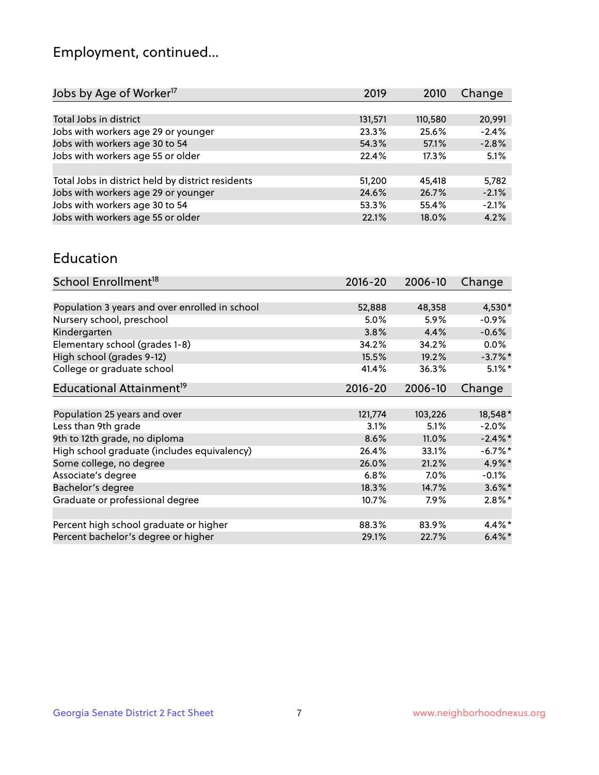## Employment, continued...

| 2019    | 2010    | Change  |
|---------|---------|---------|
|         |         |         |
| 131,571 | 110,580 | 20,991  |
| 23.3%   | 25.6%   | $-2.4%$ |
| 54.3%   | 57.1%   | $-2.8%$ |
| 22.4%   | 17.3%   | 5.1%    |
|         |         |         |
| 51,200  | 45,418  | 5,782   |
| 24.6%   | 26.7%   | $-2.1%$ |
| 53.3%   | 55.4%   | $-2.1%$ |
| 22.1%   | 18.0%   | 4.2%    |
|         |         |         |

#### Education

| School Enrollment <sup>18</sup>                | $2016 - 20$ | 2006-10 | Change     |
|------------------------------------------------|-------------|---------|------------|
|                                                |             |         |            |
| Population 3 years and over enrolled in school | 52,888      | 48,358  | 4,530*     |
| Nursery school, preschool                      | 5.0%        | 5.9%    | $-0.9%$    |
| Kindergarten                                   | 3.8%        | 4.4%    | $-0.6%$    |
| Elementary school (grades 1-8)                 | 34.2%       | 34.2%   | $0.0\%$    |
| High school (grades 9-12)                      | 15.5%       | 19.2%   | $-3.7\%$ * |
| College or graduate school                     | 41.4%       | 36.3%   | $5.1\%$ *  |
| Educational Attainment <sup>19</sup>           | $2016 - 20$ | 2006-10 | Change     |
|                                                |             |         |            |
| Population 25 years and over                   | 121,774     | 103,226 | 18,548*    |
| Less than 9th grade                            | 3.1%        | 5.1%    | $-2.0%$    |
| 9th to 12th grade, no diploma                  | 8.6%        | 11.0%   | $-2.4\%$ * |
| High school graduate (includes equivalency)    | 26.4%       | 33.1%   | $-6.7\%$ * |
| Some college, no degree                        | 26.0%       | 21.2%   | 4.9%*      |
| Associate's degree                             | 6.8%        | $7.0\%$ | $-0.1\%$   |
| Bachelor's degree                              | 18.3%       | 14.7%   | $3.6\%$ *  |
| Graduate or professional degree                | 10.7%       | 7.9%    | $2.8\%$ *  |
|                                                |             |         |            |
| Percent high school graduate or higher         | 88.3%       | 83.9%   | 4.4%*      |
| Percent bachelor's degree or higher            | 29.1%       | 22.7%   | $6.4\%$ *  |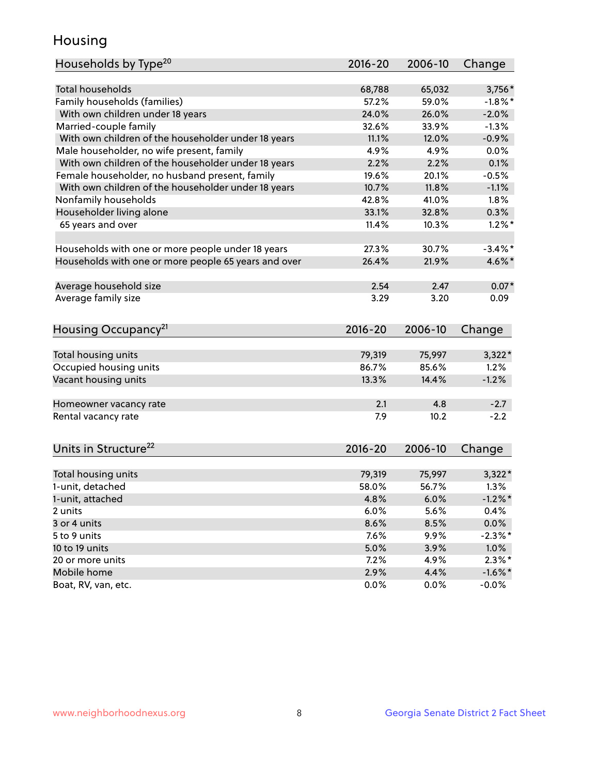## Housing

| Households by Type <sup>20</sup>                     | 2016-20 | 2006-10 | Change               |
|------------------------------------------------------|---------|---------|----------------------|
|                                                      |         |         |                      |
| <b>Total households</b>                              | 68,788  | 65,032  | $3,756*$             |
| Family households (families)                         | 57.2%   | 59.0%   | $-1.8\%$ *           |
| With own children under 18 years                     | 24.0%   | 26.0%   | $-2.0%$              |
| Married-couple family                                | 32.6%   | 33.9%   | $-1.3%$              |
| With own children of the householder under 18 years  | 11.1%   | 12.0%   | $-0.9%$              |
| Male householder, no wife present, family            | 4.9%    | 4.9%    | 0.0%                 |
| With own children of the householder under 18 years  | 2.2%    | 2.2%    | 0.1%                 |
| Female householder, no husband present, family       | 19.6%   | 20.1%   | $-0.5%$              |
| With own children of the householder under 18 years  | 10.7%   | 11.8%   | $-1.1%$              |
| Nonfamily households                                 | 42.8%   | 41.0%   | 1.8%                 |
| Householder living alone                             | 33.1%   | 32.8%   | 0.3%                 |
| 65 years and over                                    | 11.4%   | 10.3%   | $1.2\%$ <sup>*</sup> |
|                                                      |         |         |                      |
| Households with one or more people under 18 years    | 27.3%   | 30.7%   | $-3.4\%$ *           |
| Households with one or more people 65 years and over | 26.4%   | 21.9%   | $4.6\%$ *            |
| Average household size                               | 2.54    | 2.47    | $0.07*$              |
| Average family size                                  | 3.29    | 3.20    | 0.09                 |
| Housing Occupancy <sup>21</sup>                      | 2016-20 | 2006-10 | Change               |
|                                                      |         |         |                      |
| Total housing units                                  | 79,319  | 75,997  | $3,322*$             |
| Occupied housing units                               | 86.7%   | 85.6%   | 1.2%                 |
| Vacant housing units                                 | 13.3%   | 14.4%   | $-1.2%$              |
|                                                      |         |         |                      |
| Homeowner vacancy rate                               | 2.1     | 4.8     | $-2.7$               |
| Rental vacancy rate                                  | 7.9     | 10.2    | $-2.2$               |
| Units in Structure <sup>22</sup>                     | 2016-20 | 2006-10 | Change               |
|                                                      |         |         |                      |
| Total housing units                                  | 79,319  | 75,997  | $3,322*$             |
| 1-unit, detached                                     | 58.0%   | 56.7%   | 1.3%                 |
| 1-unit, attached                                     | 4.8%    | 6.0%    | $-1.2\%$ *           |
| 2 units                                              | 6.0%    | 5.6%    | 0.4%                 |
| 3 or 4 units                                         | 8.6%    | 8.5%    | $0.0\%$              |
| 5 to 9 units                                         | 7.6%    | 9.9%    | $-2.3\%$ *           |
| 10 to 19 units                                       | 5.0%    | 3.9%    | 1.0%                 |
| 20 or more units                                     | 7.2%    | 4.9%    | $2.3\%$ *            |
| Mobile home                                          | 2.9%    | 4.4%    | $-1.6\%$ *           |
| Boat, RV, van, etc.                                  | 0.0%    | $0.0\%$ | $-0.0\%$             |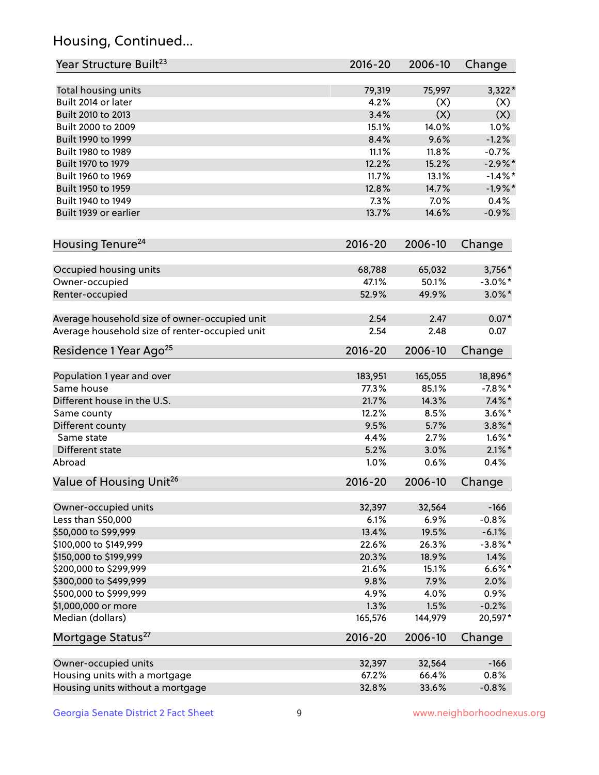## Housing, Continued...

| Year Structure Built <sup>23</sup>             | 2016-20     | 2006-10 | Change     |
|------------------------------------------------|-------------|---------|------------|
| Total housing units                            | 79,319      | 75,997  | $3,322*$   |
| Built 2014 or later                            | 4.2%        | (X)     | (X)        |
| Built 2010 to 2013                             | 3.4%        | (X)     | (X)        |
| Built 2000 to 2009                             | 15.1%       | 14.0%   | 1.0%       |
| Built 1990 to 1999                             | 8.4%        | 9.6%    | $-1.2%$    |
| Built 1980 to 1989                             | 11.1%       | 11.8%   | $-0.7%$    |
| Built 1970 to 1979                             | 12.2%       | 15.2%   | $-2.9%$ *  |
| Built 1960 to 1969                             | 11.7%       | 13.1%   | $-1.4%$ *  |
| Built 1950 to 1959                             | 12.8%       | 14.7%   | $-1.9%$ *  |
| Built 1940 to 1949                             | 7.3%        | 7.0%    | 0.4%       |
| Built 1939 or earlier                          | 13.7%       | 14.6%   | $-0.9%$    |
|                                                |             |         |            |
| Housing Tenure <sup>24</sup>                   | $2016 - 20$ | 2006-10 | Change     |
| Occupied housing units                         | 68,788      | 65,032  | 3,756*     |
| Owner-occupied                                 | 47.1%       | 50.1%   | $-3.0\%$ * |
| Renter-occupied                                | 52.9%       | 49.9%   | $3.0\%$ *  |
| Average household size of owner-occupied unit  | 2.54        | 2.47    | $0.07*$    |
| Average household size of renter-occupied unit | 2.54        | 2.48    | 0.07       |
| Residence 1 Year Ago <sup>25</sup>             | $2016 - 20$ | 2006-10 | Change     |
| Population 1 year and over                     | 183,951     | 165,055 | 18,896*    |
| Same house                                     | 77.3%       | 85.1%   | $-7.8\%$ * |
| Different house in the U.S.                    | 21.7%       | 14.3%   | $7.4\%$ *  |
| Same county                                    | 12.2%       | 8.5%    | $3.6\%$ *  |
| Different county                               | 9.5%        | 5.7%    | $3.8\%$ *  |
| Same state                                     | 4.4%        | 2.7%    | $1.6\%$ *  |
| Different state                                | 5.2%        | 3.0%    | $2.1\%$ *  |
| Abroad                                         | 1.0%        | 0.6%    | 0.4%       |
| Value of Housing Unit <sup>26</sup>            | $2016 - 20$ | 2006-10 | Change     |
| Owner-occupied units                           | 32,397      | 32,564  | $-166$     |
| Less than \$50,000                             | 6.1%        | 6.9%    | $-0.8%$    |
| \$50,000 to \$99,999                           | 13.4%       | 19.5%   | $-6.1%$    |
| \$100,000 to \$149,999                         | 22.6%       | 26.3%   | $-3.8\%$ * |
| \$150,000 to \$199,999                         | 20.3%       | 18.9%   | 1.4%       |
| \$200,000 to \$299,999                         | 21.6%       | 15.1%   | $6.6\%$ *  |
| \$300,000 to \$499,999                         | 9.8%        | 7.9%    | 2.0%       |
| \$500,000 to \$999,999                         | 4.9%        | 4.0%    | 0.9%       |
| \$1,000,000 or more                            | 1.3%        | 1.5%    | $-0.2%$    |
| Median (dollars)                               | 165,576     | 144,979 | 20,597*    |
| Mortgage Status <sup>27</sup>                  | $2016 - 20$ | 2006-10 | Change     |
|                                                |             |         |            |
| Owner-occupied units                           | 32,397      | 32,564  | $-166$     |
| Housing units with a mortgage                  | 67.2%       | 66.4%   | 0.8%       |
| Housing units without a mortgage               | 32.8%       | 33.6%   | $-0.8%$    |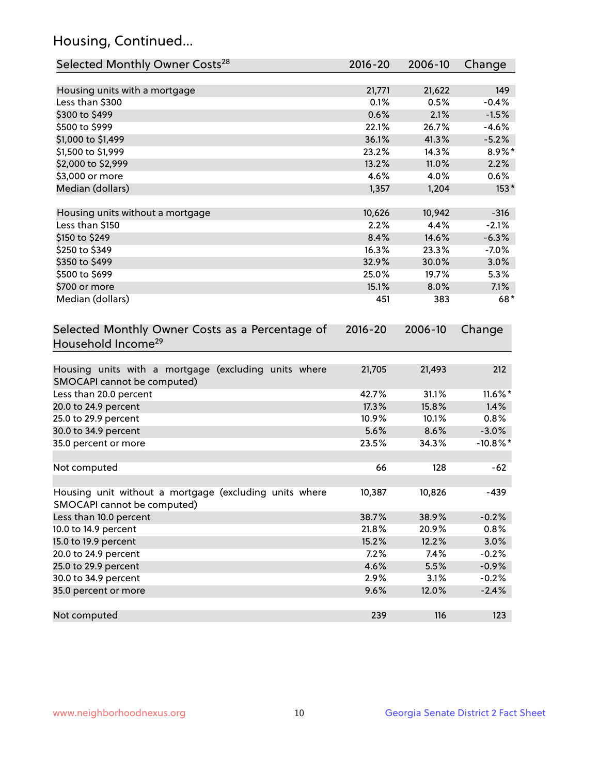## Housing, Continued...

| Selected Monthly Owner Costs <sup>28</sup>                                            | 2016-20     | 2006-10 | Change      |
|---------------------------------------------------------------------------------------|-------------|---------|-------------|
| Housing units with a mortgage                                                         | 21,771      | 21,622  | 149         |
| Less than \$300                                                                       | 0.1%        | 0.5%    | $-0.4%$     |
| \$300 to \$499                                                                        | 0.6%        | 2.1%    | $-1.5%$     |
| \$500 to \$999                                                                        | 22.1%       | 26.7%   | $-4.6%$     |
| \$1,000 to \$1,499                                                                    | 36.1%       | 41.3%   | $-5.2%$     |
| \$1,500 to \$1,999                                                                    | 23.2%       | 14.3%   | 8.9%*       |
| \$2,000 to \$2,999                                                                    | 13.2%       | 11.0%   | 2.2%        |
| \$3,000 or more                                                                       | 4.6%        | 4.0%    | 0.6%        |
| Median (dollars)                                                                      | 1,357       | 1,204   | $153*$      |
|                                                                                       |             |         |             |
| Housing units without a mortgage                                                      | 10,626      | 10,942  | $-316$      |
| Less than \$150                                                                       | 2.2%        | 4.4%    | $-2.1%$     |
| \$150 to \$249                                                                        | 8.4%        | 14.6%   | $-6.3%$     |
| \$250 to \$349                                                                        | 16.3%       | 23.3%   | $-7.0%$     |
| \$350 to \$499                                                                        | 32.9%       | 30.0%   | 3.0%        |
| \$500 to \$699                                                                        | 25.0%       | 19.7%   | 5.3%        |
| \$700 or more                                                                         | 15.1%       | 8.0%    | 7.1%        |
| Median (dollars)                                                                      | 451         | 383     | 68*         |
| Selected Monthly Owner Costs as a Percentage of<br>Household Income <sup>29</sup>     | $2016 - 20$ | 2006-10 | Change      |
| Housing units with a mortgage (excluding units where<br>SMOCAPI cannot be computed)   | 21,705      | 21,493  | 212         |
| Less than 20.0 percent                                                                | 42.7%       | 31.1%   | 11.6%*      |
| 20.0 to 24.9 percent                                                                  | 17.3%       | 15.8%   | 1.4%        |
| 25.0 to 29.9 percent                                                                  | 10.9%       | 10.1%   | 0.8%        |
| 30.0 to 34.9 percent                                                                  | 5.6%        | 8.6%    | $-3.0%$     |
| 35.0 percent or more                                                                  | 23.5%       | 34.3%   | $-10.8\%$ * |
| Not computed                                                                          | 66          | 128     | $-62$       |
| Housing unit without a mortgage (excluding units where<br>SMOCAPI cannot be computed) | 10,387      | 10,826  | $-439$      |
| Less than 10.0 percent                                                                | 38.7%       | 38.9%   | $-0.2%$     |
| 10.0 to 14.9 percent                                                                  | 21.8%       | 20.9%   | 0.8%        |
| 15.0 to 19.9 percent                                                                  | 15.2%       | 12.2%   | 3.0%        |
| 20.0 to 24.9 percent                                                                  | 7.2%        | 7.4%    | $-0.2%$     |
| 25.0 to 29.9 percent                                                                  | 4.6%        | 5.5%    | $-0.9%$     |
| 30.0 to 34.9 percent                                                                  | 2.9%        | 3.1%    | $-0.2%$     |
| 35.0 percent or more                                                                  | 9.6%        | 12.0%   | $-2.4%$     |
| Not computed                                                                          | 239         | 116     | 123         |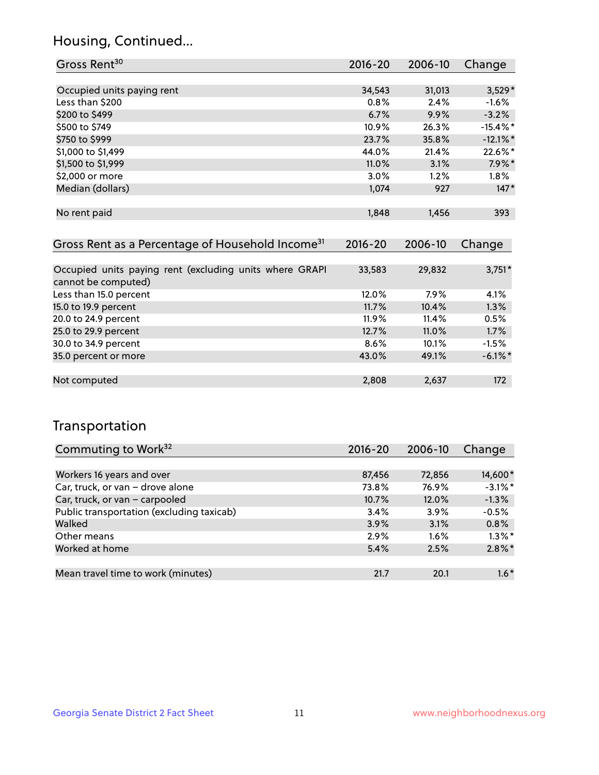## Housing, Continued...

| Gross Rent <sup>30</sup>                                     | 2016-20     | 2006-10 | Change      |
|--------------------------------------------------------------|-------------|---------|-------------|
|                                                              |             |         |             |
| Occupied units paying rent                                   | 34,543      | 31,013  | $3,529*$    |
| Less than \$200                                              | 0.8%        | 2.4%    | $-1.6\%$    |
| \$200 to \$499                                               | 6.7%        | 9.9%    | $-3.2%$     |
| \$500 to \$749                                               | 10.9%       | 26.3%   | $-15.4\%$ * |
| \$750 to \$999                                               | 23.7%       | 35.8%   | $-12.1\%$ * |
| \$1,000 to \$1,499                                           | 44.0%       | 21.4%   | $22.6\%$ *  |
| \$1,500 to \$1,999                                           | 11.0%       | 3.1%    | $7.9\%$ *   |
| \$2,000 or more                                              | 3.0%        | 1.2%    | $1.8\%$     |
| Median (dollars)                                             | 1,074       | 927     | $147*$      |
| No rent paid                                                 | 1,848       | 1,456   | 393         |
| Gross Rent as a Percentage of Household Income <sup>31</sup> | $2016 - 20$ | 2006-10 | Change      |
| Occupied units paying rent (excluding units where GRAPI      | 33,583      | 29,832  | $3,751*$    |
| cannot be computed)                                          |             |         |             |
| Less than 15.0 percent                                       | 12.0%       | 7.9%    | 4.1%        |
| 15.0 to 19.9 percent                                         | 11.7%       | 10.4%   | 1.3%        |
| 20.0 to 24.9 percent                                         | $11.9\%$    | 11.4%   | 0.5%        |

| <b>LUID TO LAT PUISOIN</b> | 11.770  | . <del>.</del> | $\sim$ . $\sim$ . $\sim$ |
|----------------------------|---------|----------------|--------------------------|
| 25.0 to 29.9 percent       | 12.7%   | $11.0\%$       | 1.7%                     |
| 30.0 to 34.9 percent       | $8.6\%$ | 10.1%          | $-1.5%$                  |
| 35.0 percent or more       | 43.0%   | 49.1%          | $-6.1\%$ <sup>*</sup>    |
|                            |         |                |                          |
| Not computed               | 2,808   | 2.637          | 172                      |
|                            |         |                |                          |

## Transportation

| Commuting to Work <sup>32</sup>           | 2016-20 | 2006-10 | Change     |
|-------------------------------------------|---------|---------|------------|
|                                           |         |         |            |
| Workers 16 years and over                 | 87,456  | 72,856  | 14,600*    |
| Car, truck, or van - drove alone          | 73.8%   | 76.9%   | $-3.1\%$ * |
| Car, truck, or van - carpooled            | 10.7%   | 12.0%   | $-1.3%$    |
| Public transportation (excluding taxicab) | 3.4%    | 3.9%    | $-0.5%$    |
| Walked                                    | 3.9%    | 3.1%    | 0.8%       |
| Other means                               | 2.9%    | $1.6\%$ | $1.3\%$ *  |
| Worked at home                            | 5.4%    | 2.5%    | $2.8\%$ *  |
|                                           |         |         |            |
| Mean travel time to work (minutes)        | 21.7    | 20.1    | $1.6*$     |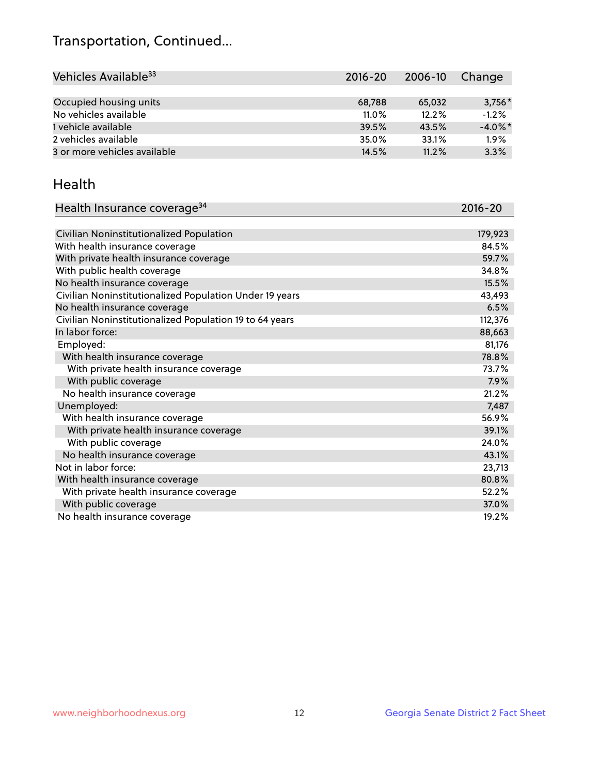## Transportation, Continued...

| Vehicles Available <sup>33</sup> | $2016 - 20$ | 2006-10 | Change     |
|----------------------------------|-------------|---------|------------|
|                                  |             |         |            |
| Occupied housing units           | 68,788      | 65,032  | $3,756*$   |
| No vehicles available            | $11.0\%$    | 12.2%   | $-1.2%$    |
| 1 vehicle available              | 39.5%       | 43.5%   | $-4.0\%$ * |
| 2 vehicles available             | 35.0%       | 33.1%   | 1.9%       |
| 3 or more vehicles available     | 14.5%       | 11.2%   | 3.3%       |

#### Health

| Health Insurance coverage <sup>34</sup>                 | 2016-20 |
|---------------------------------------------------------|---------|
|                                                         |         |
| Civilian Noninstitutionalized Population                | 179,923 |
| With health insurance coverage                          | 84.5%   |
| With private health insurance coverage                  | 59.7%   |
| With public health coverage                             | 34.8%   |
| No health insurance coverage                            | 15.5%   |
| Civilian Noninstitutionalized Population Under 19 years | 43,493  |
| No health insurance coverage                            | 6.5%    |
| Civilian Noninstitutionalized Population 19 to 64 years | 112,376 |
| In labor force:                                         | 88,663  |
| Employed:                                               | 81,176  |
| With health insurance coverage                          | 78.8%   |
| With private health insurance coverage                  | 73.7%   |
| With public coverage                                    | 7.9%    |
| No health insurance coverage                            | 21.2%   |
| Unemployed:                                             | 7,487   |
| With health insurance coverage                          | 56.9%   |
| With private health insurance coverage                  | 39.1%   |
| With public coverage                                    | 24.0%   |
| No health insurance coverage                            | 43.1%   |
| Not in labor force:                                     | 23,713  |
| With health insurance coverage                          | 80.8%   |
| With private health insurance coverage                  | 52.2%   |
| With public coverage                                    | 37.0%   |
| No health insurance coverage                            | 19.2%   |